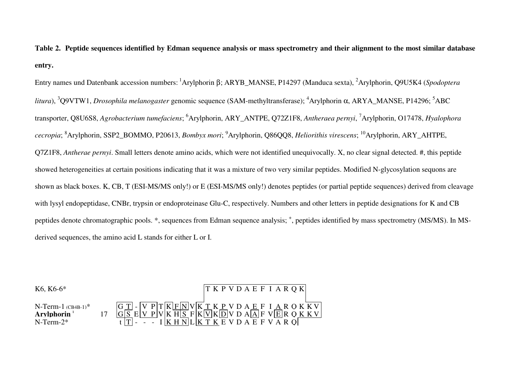**Table 2. Peptide sequences identified by Edman sequence analysis or mass spectrometry and their alignment to the most similar database entry.** 

Entry names und Datenbank accession numbers:<sup>1</sup>Arylphorin β; ARYB\_MANSE, P14297 (Manduca sexta), <sup>2</sup>Arylphorin, Q9U5K4 (*Spodopteralitura*), <sup>3</sup>Q9VTW1, *Drosophila melanogaster* genomic sequence (SAM-methyltransferase); <sup>4</sup>Arylphorin α, ARYA\_MANSE, P14296; <sup>5</sup>ABC transporter, Q8U6S8, *Agrobacterium tumefaciens*; <sup>6</sup>Arylphorin, ARY\_ANTPE, Q72Z1F8, *Antheraea pernyi*, <sup>7</sup>Arylphorin, O17478, *Hyalophoracecropia*; <sup>8</sup>Arylphorin, SSP2\_BOMMO, P20613, *Bombyx mori*; <sup>9</sup>Arylphorin, Q86QQ8, *Heliorithis virescens*; <sup>10</sup>Arylphorin, ARY\_AHTPE, Q7Z1F8, *Antherae pernyi*. Small letters denote amino acids, which were not identified unequivocally. X, no clear signal detected. #, this peptide showed heterogeneities at certain positions indicating that it was a mixture of two very similar peptides. Modified N-glycosylation sequons are shown as black boxes. K, CB, T (ESI-MS/MS only!) or E (ESI-MS/MS only!) denotes peptides (or partial peptide sequences) derived from cleavage with lysyl endopeptidase, CNBr, trypsin or endoproteinase Glu-C, respectively. Numbers and other letters in peptide designations for K and CB peptides denote chromatographic pools. \*, sequences from Edman sequence analysis; <sup>+</sup>, peptides identified by mass spectrometry (MS/MS). In MSderived sequences, the amino acid L stands for either L or I.

| K6, K6-6*                                                                  |                                                                                                                                                                                                                                                                              |                                         | [T K P V D A E F I A R Q K] |  |  |  |  |
|----------------------------------------------------------------------------|------------------------------------------------------------------------------------------------------------------------------------------------------------------------------------------------------------------------------------------------------------------------------|-----------------------------------------|-----------------------------|--|--|--|--|
| $N-Term-1$ (CB4B-1) <sup>*</sup><br>Arvlphorin <sup>1</sup><br>$N-Term-2*$ | $\boxed{G\ T}\cdot\boxed{V\ P}\ T\ \overline{K}\boxed{F\ N}\ V\ \overline{K}\ T\ K\ P\ V\ D\ A\ E\ F\ I\ A\ R\ O\ K\ \overline{K}\ V\ G\boxed{S}\ E\ \overline{V}\ P\ V\ K\ H\boxed{S}\ F\ K\overline{V}\ K\overline{D}\ V\ D\ A\boxed{A}\ F\ V\overline{E}\ R\ O\ K\ K\ V}$ | $-$ I K H N L K T K E V D A E F V A R O |                             |  |  |  |  |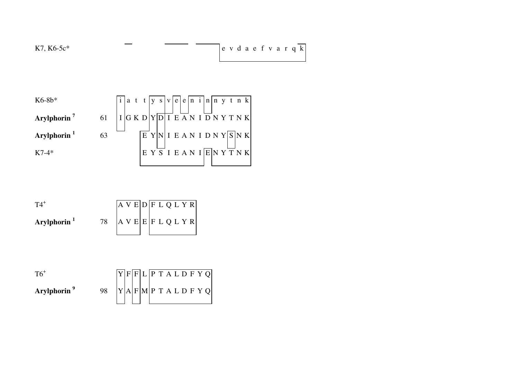

| $TA^{\dagger}$          |    |  |  |  |  | A V E D F L Q L Y R |  |
|-------------------------|----|--|--|--|--|---------------------|--|
| Arylphorin <sup>1</sup> | 78 |  |  |  |  | A V E E F L Q L Y R |  |

| $T6$ <sup>+</sup>       |    |  | Y F E L P T ALDF Y Q               |  |  |  |  |
|-------------------------|----|--|------------------------------------|--|--|--|--|
| Arylphorin <sup>9</sup> | 98 |  | $ Y $ A $ F $ M $ P$ T A L D F Y Q |  |  |  |  |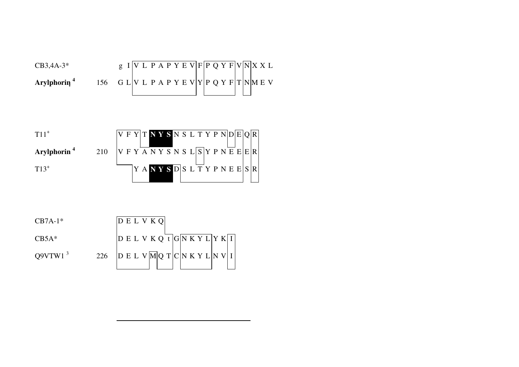| $CB3,4A-3*$             |  |  |  |  |  |  | g I   V L P A P Y E V   F   P Q Y F   V   N   X X L |
|-------------------------|--|--|--|--|--|--|-----------------------------------------------------|
| Arylphorin <sup>4</sup> |  |  |  |  |  |  | 156 G L V L P A P Y E V Y P Q Y F T N M E V         |

| $T11^+$                 |     |  |  |  |  |  |  |  |  | V F Y T N Y S N S L T Y P N D E  Q  R                                |
|-------------------------|-----|--|--|--|--|--|--|--|--|----------------------------------------------------------------------|
| Arylphorin <sup>4</sup> | 210 |  |  |  |  |  |  |  |  | $V F Y \overline{A} N Y S N S L S Y P N E E  E  R$                   |
| $T13^+$                 |     |  |  |  |  |  |  |  |  | $Y A \overline{N} Y S \overline{D} S L \overline{T} Y P N E E  S  R$ |

| $CB7A-1*$           |     | DELVKO                                                                                            |
|---------------------|-----|---------------------------------------------------------------------------------------------------|
| $CB5A*$             |     | $\overline{D} E L V K Q \overline{t} \overline{G} \overline{N} \overline{K} Y L Y K \overline{I}$ |
| Q9VTW1 <sup>3</sup> | 226 | D E L V M Q T  C  N K Y L  N V  I                                                                 |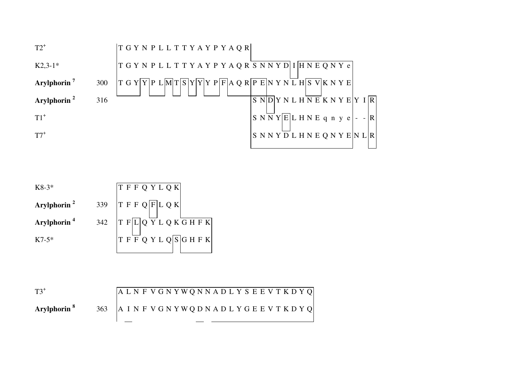

| T F L Q Y L Q K G H F K |
|-------------------------|
| T F F Q Y L Q S G H F K |
|                         |

| $T3^+$                  |                               | ALNFVGNYWQNNADLYSEEVTKDYQ |  |  |  |  |  |  |  |  |  |  |  |  |
|-------------------------|-------------------------------|---------------------------|--|--|--|--|--|--|--|--|--|--|--|--|
| Arylphorin <sup>8</sup> | 363 AINFVGNYWQDNADLYGEEVTKDYQ |                           |  |  |  |  |  |  |  |  |  |  |  |  |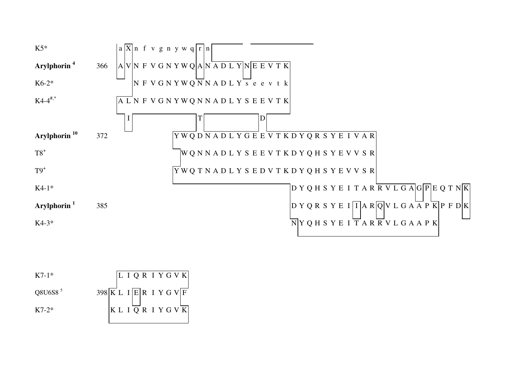

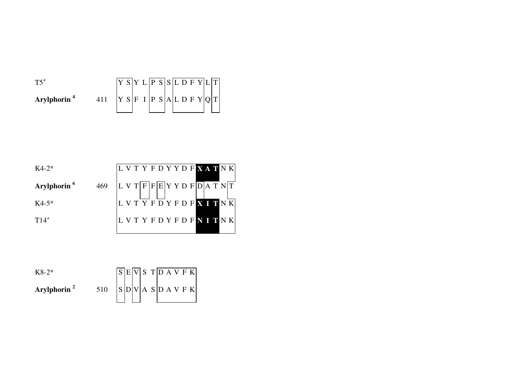|                         |  |  | Y L P S  S L D F Y  L T |  |  |  |  |  |
|-------------------------|--|--|-------------------------|--|--|--|--|--|
| Arylphorin <sup>4</sup> |  |  | S F I P S A L D F Y Q T |  |  |  |  |  |

| $K4-2*$                 |     |  | L V T Y F D Y Y D F X A T N K                         |  |  |  |  |  |                               |
|-------------------------|-----|--|-------------------------------------------------------|--|--|--|--|--|-------------------------------|
| Arylphorin <sup>6</sup> | 469 |  | $ L V T F F E Y Y D F\overline{D} \overline{A T N} T$ |  |  |  |  |  |                               |
| $K4-5*$                 |     |  |                                                       |  |  |  |  |  | L V T Y F D Y F D F X I T N K |
| $T14^+$                 |     |  | L V T Y F D Y F D F N I T N K                         |  |  |  |  |  |                               |

| $K8-2*$                 |     |  |  |  |  | S E V S T D A V F K       |
|-------------------------|-----|--|--|--|--|---------------------------|
| Arylphorin <sup>2</sup> | 510 |  |  |  |  | $ S _D V _A S _D A V F K$ |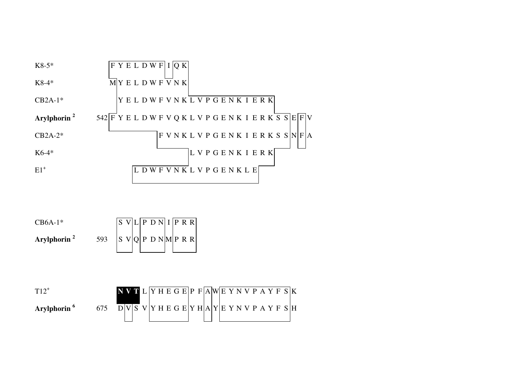

 $CB6A-1*$  $S$  V  $L$   $P$  D N  $I$   $P$  R R **Arylphorin** $\mathbf{n}^2$  593 S V Q P D N M P R R

| $T12^+$                 |     | NVTL YHEGE PFAWEYN VPAYFSK                      |  |  |  |  |  |  |  |  |  |  |  |
|-------------------------|-----|-------------------------------------------------|--|--|--|--|--|--|--|--|--|--|--|
| Arylphorin <sup>6</sup> | 675 | $D V S V Y H E G E Y H A Y E Y N V P A Y F S H$ |  |  |  |  |  |  |  |  |  |  |  |